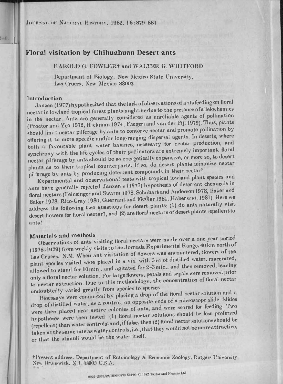JOURNAL OF NATURAL HISTORY, 1982, 16:879-881

# Floral visitation by Chihuahuan Desert ants

# HAROLD G FOWLER+ and WALTER G WHITFORD

Department of Biology, New Mexico State University, Las Cruces, New Mexico 88003

#### Introduction

liet).

Janzen (1977) hypothesized that the lack of observations of ants feeding on floral nectar in lowland tropical forest plants might bedue to the presence of allelochemics in the nectar. Ants are generally considered as unreliable agents of pollination (Proctor and Yeo 1972, Hickman 1974, Faegeri and van der Pijl 1979). Thus, plants should limit nectar pilferage by ants to conserve nectar and promote pollination by offering it to more specific and/or long-ranging dispersal agents. In deserts, where both a favourable plant water balance, necessary for nectar production, and synchrony with the life cycles of their pollinators are extremely important, floral nectar pilferage by ants should be as energetically expensive, or more so, to desert plants as to their tropical counterparts. If so, do desert plants minimize nectar pilferage by ants by producing deterrent compounds in their nectar?

Experimental and observational tests with tropical lowland plant species and ants have generally rejected Janzen's (1977) hypothesis of deterrent chemicals in floral nectars (Feinsinger and Swarm 1978, Schubart and Anderson 1978, Baker and Baker 1978, Rico-Gray 1980, Guerrant and Fiedler 1981, Haber et al. 1981). Here we address the following two questions for desert plants: (1) do ants naturally visit desert flowers for floral nectar?, and (2) are floral nectars of desert plants repellent to ants?

# Materials and methods

Observations of ants visiting floral nectars were made over a one year period (1978-1979) from weekly visits to the Jornada Experimental Range, 40 km north of Las Cruces, N.M. When ant visitation of flowers was encountered, flowers of the plant species visited were placed in a vial with 5 cc of distilled water, macerated, allowed to stand for 10min., and agitated for 2-3min., and then removed, leaving only a floral nectar solution. For large flowers, petals and sepals were removed prior to nectar extraction. Due to this methodology, the concentration of floral nectar undoubtedly varied greatly from species to species.

Bioessays were conducted by placing a drop of the floral nectar solution and a drop of distilled water, as a control, on opposite ends of a microscope slide. Slides were then placed near active colonies of ants, and were scored for feeding. Two hypotheses were then tested: (1) floral nectar solutions should be less preferred (repellent) than water controls; and, if false, then (2) floral nectar solutions should be taken at the same rate as water controls, i.e., that they would not be more attractive, or that the stimuli would be the water itself.

† Present address: Department of Entomology & Economic Zoology, Rutgers University, New Brunswick, N.J. 08903 U.S.A.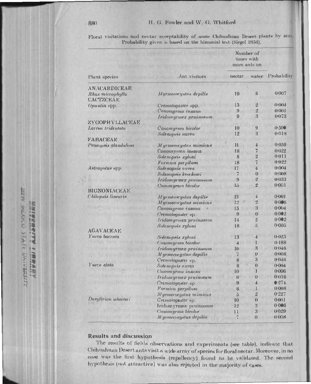| Floral visitations and nectur acceptability of some Chihuahuan Desert plants by ant |  |                                                                |  |  |
|-------------------------------------------------------------------------------------|--|----------------------------------------------------------------|--|--|
|                                                                                     |  | Probability given is based on the hinomial test (Siegel 1956). |  |  |

|                               |                          | Number of<br>times with<br>more ants on |                         |                    |  |
|-------------------------------|--------------------------|-----------------------------------------|-------------------------|--------------------|--|
| Plant species                 | Ant visitors             | nectar                                  | water                   | <b>Probability</b> |  |
| ANACARDICEAE                  |                          |                                         |                         |                    |  |
| Rhus microphylla<br>CACTZCEAE | Myrmecorystus depilis    | $\overline{19}$                         | 6                       | 0.007              |  |
| Opuntia spp.                  | Crematogaster spp.       | 13                                      |                         | $0-001$            |  |
|                               | Conomyrma insana         | 9                                       | $\overline{2}$          | 0(0)1              |  |
|                               | Iridomyrmex pruinosum    | $\boldsymbol{\vartheta}$                | 3                       | 0073               |  |
| ZYGOPHYLLACEAE                |                          |                                         |                         |                    |  |
| Larren tridentata             | Conomyrma bicolor        | 10                                      | $\boldsymbol{\Omega}$   | 0.500              |  |
|                               | Solenopeis aurea         | 12                                      | $\boldsymbol{3}$        | 0.018              |  |
| FABACEAE                      |                          |                                         |                         |                    |  |
| Prosopsis glandulosa          | Myrmecocystus mimicus    | 11                                      | 4                       | 0.059              |  |
|                               | Conomyrma insana         | 18                                      | 7                       | 0:022              |  |
|                               | Solenopsis xyloni        | 8                                       | 2                       | 0.011              |  |
|                               | Formica perpilami        | 18                                      | 7                       | 0.022              |  |
| Astragulus spp.               | Sulenopsis aurea         | 17                                      | $\overline{1}$          | (1)(1)4            |  |
|                               | Solenopris krockowi      | $\overline{1}$                          | $\Omega$                | 0.008              |  |
|                               | Iridomyrmex prainoman    | $\Omega$                                | 2                       | 0.033              |  |
|                               | Conomyrna bicolor        | 15                                      | 2                       | 0:001              |  |
| BIGNONIACEAE                  |                          |                                         |                         |                    |  |
| Chilopsia linearia            | Myrmecocystus depilis    | 21                                      | $\overline{\mathbf{1}}$ | $0 - 001$          |  |
|                               | Myrmecocystus mimicus    | 1:2                                     | $\overline{2}$          | 0.0065             |  |
|                               | Сопотугта і пвана        | 15                                      | 3                       | 0.0014             |  |
|                               | Crematoyanter sp.        | $\boldsymbol{\Omega}$                   | $\bf{0}$                | 0.002              |  |
|                               | Iridomyrmex pruinosum    | 14                                      | $\overline{2}$          | $0 - 002$          |  |
|                               | Solenopsis xyloni        | 18                                      | 5                       | 0.005              |  |
| AGAVACEAE                     |                          |                                         |                         |                    |  |
| <i>Yucca baccata</i>          | Solenopsis xyloni        | 13                                      |                         | 0.125              |  |
|                               | <b>Conomyrma</b> bicolor |                                         |                         | 0.188              |  |
|                               | Iridomyrmex prainosum    | 10                                      | 3                       | 0.046              |  |
|                               | Myrmecocystus depilis    | 7                                       | $\mathbf 0$             | 0.008              |  |
|                               | Cremaloguster sp.        | 8                                       | 3                       | $0 - 0 + 6$        |  |
| <i>Yuccu</i> elata            | Solenopsia aurea         | 8                                       | 0                       | $0-0014$           |  |
|                               | Conomyrma insana         | 10                                      |                         | 0:006              |  |
|                               | Iridomyrmex pruinosum    | 6                                       |                         | 0.016              |  |
|                               | <i>Crematogramer</i> sp. | 9                                       |                         | 0.274              |  |
|                               | Formica perpilosa        | $\boldsymbol{\omega}$                   | $\downarrow$            | 0.008              |  |
|                               | Myrmecocystus mimicus    |                                         | $\overline{2}$          | 0.227              |  |
| Dasylirion wheeleri           | Cremalogaster sp.        | $\overline{5}$<br>10                    | $\bf{0}$                | 0(01)              |  |
|                               | Iridomyrmex pruinosum    | 12                                      | $\overline{2}$          | 0.006              |  |
|                               |                          |                                         | 3                       | 0.029              |  |
|                               | Conomyrma bicolor        |                                         | $\bf{0}$                | 80010              |  |
|                               | M yrmecorystus depilis   |                                         |                         |                    |  |

# **Results and discussion**

The results of fields observations and experiments (see table), indicate that Chihuahuan Desert ants visit a wide array of species for floral nectar. Moreover, in no case was the first hypothesis (repellency) found to be validated. The second hypothesis (not attractive) was also rejected in the majority of cases.